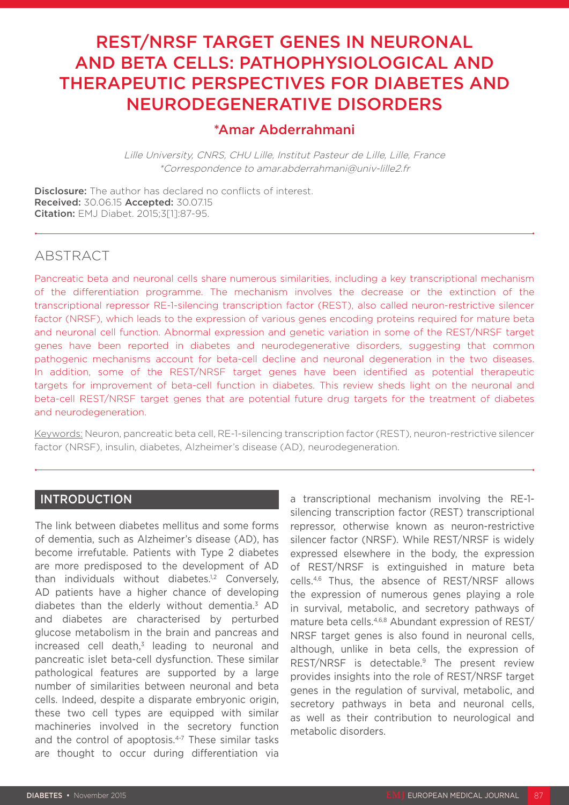# REST/NRSF TARGET GENES IN NEURONAL AND BETA CELLS: PATHOPHYSIOLOGICAL AND THERAPEUTIC PERSPECTIVES FOR DIABETES AND NEURODEGENERATIVE DISORDERS

## \*Amar Abderrahmani

Lille University, CNRS, CHU Lille, Institut Pasteur de Lille, Lille, France \*Correspondence to amar.abderrahmani@univ-lille2.fr

Disclosure: The author has declared no conflicts of interest. Received: 30.06.15 Accepted: 30.07.15 Citation: EMJ Diabet. 2015;3[1]:87-95.

### ABSTRACT

Pancreatic beta and neuronal cells share numerous similarities, including a key transcriptional mechanism of the differentiation programme. The mechanism involves the decrease or the extinction of the transcriptional repressor RE-1-silencing transcription factor (REST), also called neuron-restrictive silencer factor (NRSF), which leads to the expression of various genes encoding proteins required for mature beta and neuronal cell function. Abnormal expression and genetic variation in some of the REST/NRSF target genes have been reported in diabetes and neurodegenerative disorders, suggesting that common pathogenic mechanisms account for beta-cell decline and neuronal degeneration in the two diseases. In addition, some of the REST/NRSF target genes have been identified as potential therapeutic targets for improvement of beta-cell function in diabetes. This review sheds light on the neuronal and beta-cell REST/NRSF target genes that are potential future drug targets for the treatment of diabetes and neurodegeneration.

Keywords: Neuron, pancreatic beta cell, RE-1-silencing transcription factor (REST), neuron-restrictive silencer factor (NRSF), insulin, diabetes, Alzheimer's disease (AD), neurodegeneration.

### INTRODUCTION

The link between diabetes mellitus and some forms of dementia, such as Alzheimer's disease (AD), has become irrefutable. Patients with Type 2 diabetes are more predisposed to the development of AD than individuals without diabetes.<sup>1,2</sup> Conversely, AD patients have a higher chance of developing diabetes than the elderly without dementia.3 AD and diabetes are characterised by perturbed glucose metabolism in the brain and pancreas and  $increased$  cell death.<sup>3</sup> leading to neuronal and pancreatic islet beta-cell dysfunction. These similar pathological features are supported by a large number of similarities between neuronal and beta cells. Indeed, despite a disparate embryonic origin, these two cell types are equipped with similar machineries involved in the secretory function and the control of apoptosis.<sup>4-7</sup> These similar tasks are thought to occur during differentiation via a transcriptional mechanism involving the RE-1 silencing transcription factor (REST) transcriptional repressor, otherwise known as neuron-restrictive silencer factor (NRSF). While REST/NRSF is widely expressed elsewhere in the body, the expression of REST/NRSF is extinguished in mature beta cells.4,6 Thus, the absence of REST/NRSF allows the expression of numerous genes playing a role in survival, metabolic, and secretory pathways of mature beta cells.4,6,8 Abundant expression of REST/ NRSF target genes is also found in neuronal cells. although, unlike in beta cells, the expression of REST/NRSF is detectable.9 The present review provides insights into the role of REST/NRSF target genes in the regulation of survival, metabolic, and secretory pathways in beta and neuronal cells, as well as their contribution to neurological and metabolic disorders.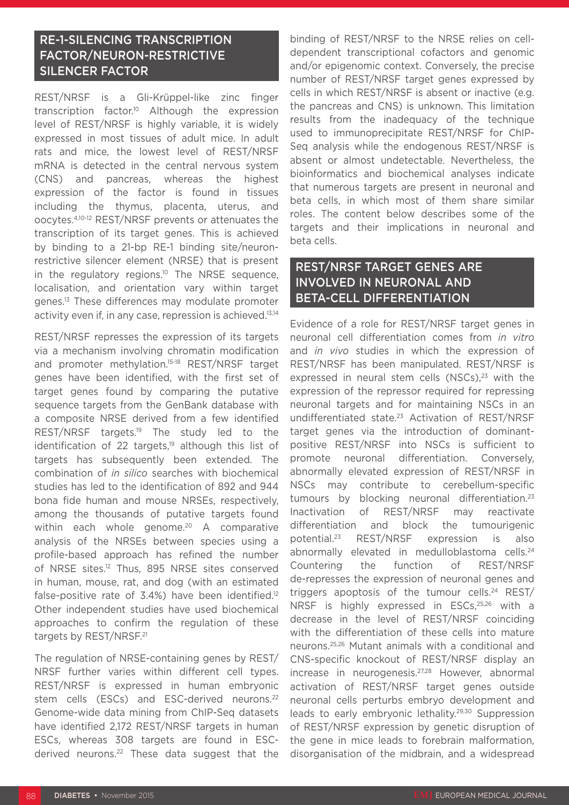### RE-1-SILENCING TRANSCRIPTION FACTOR/NEURON-RESTRICTIVE SILENCER FACTOR

REST/NRSF is a Gli-Krüppel-like zinc finger transcription factor.<sup>10</sup> Although the expression level of REST/NRSF is highly variable, it is widely expressed in most tissues of adult mice. In adult rats and mice, the lowest level of REST/NRSF mRNA is detected in the central nervous system (CNS) and pancreas, whereas the highest expression of the factor is found in tissues including the thymus, placenta, uterus, and oocytes.4,10-12 REST/NRSF prevents or attenuates the transcription of its target genes. This is achieved by binding to a 21-bp RE-1 binding site/neuronrestrictive silencer element (NRSE) that is present in the regulatory regions.<sup>10</sup> The NRSE sequence, localisation, and orientation vary within target genes.13 These differences may modulate promoter activity even if, in any case, repression is achieved.13,14

REST/NRSF represses the expression of its targets via a mechanism involving chromatin modification and promoter methylation.15-18 REST/NRSF target genes have been identified, with the first set of target genes found by comparing the putative sequence targets from the GenBank database with a composite NRSE derived from a few identified REST/NRSF targets.<sup>19</sup> The study led to the identification of 22 targets,<sup>19</sup> although this list of targets has subsequently been extended. The combination of *in silico* searches with biochemical studies has led to the identification of 892 and 944 bona fide human and mouse NRSEs, respectively, among the thousands of putative targets found within each whole genome.<sup>20</sup> A comparative analysis of the NRSEs between species using a profile-based approach has refined the number of NRSE sites.12 Thus, 895 NRSE sites conserved in human, mouse, rat, and dog (with an estimated false-positive rate of 3.4%) have been identified.<sup>12</sup> Other independent studies have used biochemical approaches to confirm the regulation of these targets by REST/NRSF.<sup>21</sup>

The regulation of NRSE-containing genes by REST/ NRSF further varies within different cell types. REST/NRSF is expressed in human embryonic stem cells (ESCs) and ESC-derived neurons.<sup>22</sup> Genome-wide data mining from ChIP-Seq datasets have identified 2,172 REST/NRSF targets in human ESCs, whereas 308 targets are found in ESCderived neurons.<sup>22</sup> These data suggest that the

binding of REST/NRSF to the NRSE relies on celldependent transcriptional cofactors and genomic and/or epigenomic context. Conversely, the precise number of REST/NRSF target genes expressed by cells in which REST/NRSF is absent or inactive (e.g. the pancreas and CNS) is unknown. This limitation results from the inadequacy of the technique used to immunoprecipitate REST/NRSF for ChIP-Seq analysis while the endogenous REST/NRSF is absent or almost undetectable. Nevertheless, the bioinformatics and biochemical analyses indicate that numerous targets are present in neuronal and beta cells, in which most of them share similar roles. The content below describes some of the targets and their implications in neuronal and beta cells.

### REST/NRSF TARGET GENES ARE INVOLVED IN NEURONAL AND BETA-CELL DIFFERENTIATION

Evidence of a role for REST/NRSF target genes in neuronal cell differentiation comes from *in vitro* and *in vivo* studies in which the expression of REST/NRSF has been manipulated. REST/NRSF is expressed in neural stem cells  $(NSCs)^{23}$  with the expression of the repressor required for repressing neuronal targets and for maintaining NSCs in an undifferentiated state.23 Activation of REST/NRSF target genes via the introduction of dominantpositive REST/NRSF into NSCs is sufficient to promote neuronal differentiation. Conversely, abnormally elevated expression of REST/NRSF in NSCs may contribute to cerebellum-specific tumours by blocking neuronal differentiation.<sup>23</sup> Inactivation of REST/NRSF may reactivate differentiation and block the tumourigenic potential.23 REST/NRSF expression is also abnormally elevated in medulloblastoma cells.<sup>24</sup> Countering the function of REST/NRSF de-represses the expression of neuronal genes and triggers apoptosis of the tumour cells.24 REST/ NRSF is highly expressed in ESCs,<sup>25,26</sup> with a decrease in the level of REST/NRSF coinciding with the differentiation of these cells into mature neurons.25,26 Mutant animals with a conditional and CNS-specific knockout of REST/NRSF display an increase in neurogenesis.27,28 However, abnormal activation of REST/NRSF target genes outside neuronal cells perturbs embryo development and leads to early embryonic lethality.<sup>29,30</sup> Suppression of REST/NRSF expression by genetic disruption of the gene in mice leads to forebrain malformation, disorganisation of the midbrain, and a widespread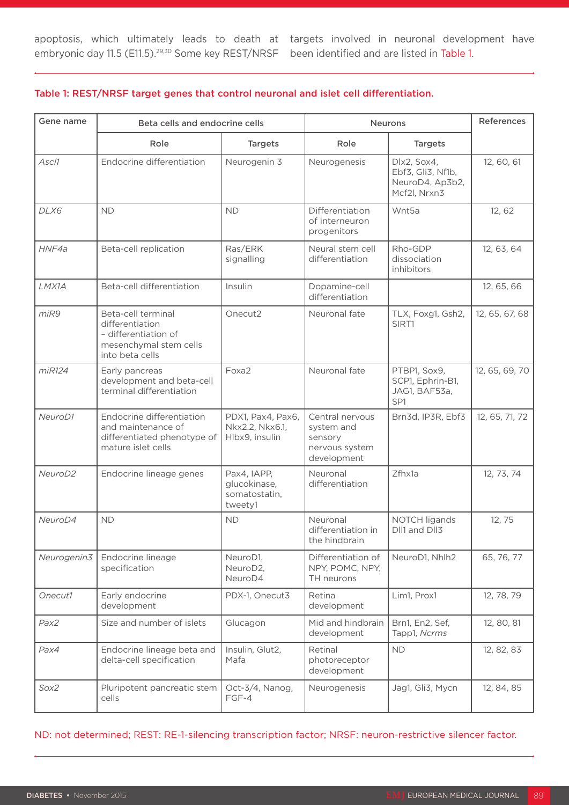apoptosis, which ultimately leads to death at targets involved in neuronal development have

#### Table 1: REST/NRSF target genes that control neuronal and islet cell differentiation.

| Gene name           | Beta cells and endocrine cells                                                                             |                                                         | <b>Neurons</b>                                                            |                                                                     | <b>References</b> |
|---------------------|------------------------------------------------------------------------------------------------------------|---------------------------------------------------------|---------------------------------------------------------------------------|---------------------------------------------------------------------|-------------------|
|                     | Role                                                                                                       | <b>Targets</b>                                          | Role                                                                      | <b>Targets</b>                                                      |                   |
| Ascl1               | Endocrine differentiation                                                                                  | Neurogenin 3                                            | Neurogenesis                                                              | Dlx2, Sox4,<br>Ebf3, Gli3, Nf1b,<br>NeuroD4, Ap3b2,<br>Mcf2l, Nrxn3 | 12, 60, 61        |
| DLX6                | <b>ND</b>                                                                                                  | <b>ND</b>                                               | Differentiation<br>of interneuron<br>progenitors                          | Wnt5a                                                               | 12, 62            |
| HNF4a               | Beta-cell replication                                                                                      | Ras/ERK<br>signalling                                   | Neural stem cell<br>differentiation                                       | Rho-GDP<br>dissociation<br>inhibitors                               | 12, 63, 64        |
| LMX1A               | Beta-cell differentiation                                                                                  | Insulin                                                 | Dopamine-cell<br>differentiation                                          |                                                                     | 12, 65, 66        |
| miR9                | Beta-cell terminal<br>differentiation<br>- differentiation of<br>mesenchymal stem cells<br>into beta cells | Onecut2                                                 | Neuronal fate                                                             | TLX, Foxg1, Gsh2,<br>SIRT1                                          | 12, 65, 67, 68    |
| miR124              | Early pancreas<br>development and beta-cell<br>terminal differentiation                                    | Foxa2                                                   | Neuronal fate                                                             | PTBP1, Sox9,<br>SCP1, Ephrin-B1,<br>JAG1, BAF53a,<br>SP1            | 12, 65, 69, 70    |
| NeuroD1             | Endocrine differentiation<br>and maintenance of<br>differentiated phenotype of<br>mature islet cells       | PDX1, Pax4, Pax6,<br>Nkx2.2, Nkx6.1,<br>Hlbx9, insulin  | Central nervous<br>system and<br>sensory<br>nervous system<br>development | Brn3d, IP3R, Ebf3                                                   | 12, 65, 71, 72    |
| NeuroD <sub>2</sub> | Endocrine lineage genes                                                                                    | Pax4, IAPP,<br>glucokinase,<br>somatostatin,<br>tweety1 | Neuronal<br>differentiation                                               | Zfhx1a                                                              | 12, 73, 74        |
| NeuroD4             | <b>ND</b>                                                                                                  | <b>ND</b>                                               | Neuronal<br>differentiation in<br>the hindbrain                           | NOTCH ligands<br>DII1 and DII3                                      | 12, 75            |
| Neurogenin3         | Endocrine lineage<br>specification                                                                         | NeuroD1,<br>NeuroD2,<br>NeuroD4                         | Differentiation of<br>NPY, POMC, NPY,<br>TH neurons                       | NeuroD1, Nhlh2                                                      | 65, 76, 77        |
| Onecut1             | Early endocrine<br>development                                                                             | PDX-1, Onecut3                                          | Retina<br>development                                                     | Lim1, Prox1                                                         | 12, 78, 79        |
| Pax2                | Size and number of islets                                                                                  | Glucagon                                                | Mid and hindbrain<br>development                                          | Brn1, En2, Sef,<br>Tapp1, Ncrms                                     | 12, 80, 81        |
| Pax4                | Endocrine lineage beta and<br>delta-cell specification                                                     | Insulin, Glut2,<br>Mafa                                 | Retinal<br>photoreceptor<br>development                                   | <b>ND</b>                                                           | 12, 82, 83        |
| Sox2                | Pluripotent pancreatic stem<br>cells                                                                       | Oct-3/4, Nanog,<br>FGF-4                                | Neurogenesis                                                              | Jag1, Gli3, Mycn                                                    | 12, 84, 85        |

ND: not determined; REST: RE-1-silencing transcription factor; NRSF: neuron-restrictive silencer factor.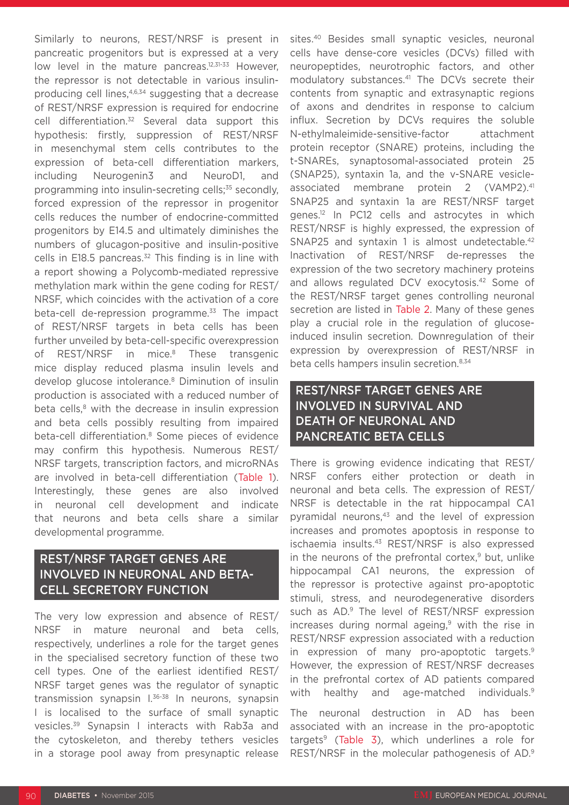Similarly to neurons, REST/NRSF is present in pancreatic progenitors but is expressed at a very low level in the mature pancreas.<sup>12,31-33</sup> However, the repressor is not detectable in various insulinproducing cell lines,<sup>4,6,34</sup> suggesting that a decrease of REST/NRSF expression is required for endocrine cell differentiation.<sup>32</sup> Several data support this hypothesis: firstly, suppression of REST/NRSF in mesenchymal stem cells contributes to the expression of beta-cell differentiation markers, including Neurogenin3 and NeuroD1, and programming into insulin-secreting cells;<sup>35</sup> secondly, forced expression of the repressor in progenitor cells reduces the number of endocrine-committed progenitors by E14.5 and ultimately diminishes the numbers of glucagon-positive and insulin-positive cells in E18.5 pancreas. $32$  This finding is in line with a report showing a Polycomb-mediated repressive methylation mark within the gene coding for REST/ NRSF, which coincides with the activation of a core beta-cell de-repression programme.<sup>33</sup> The impact of REST/NRSF targets in beta cells has been further unveiled by beta-cell-specific overexpression of REST/NRSF in mice.<sup>8</sup> These transgenic mice display reduced plasma insulin levels and develop glucose intolerance.<sup>8</sup> Diminution of insulin production is associated with a reduced number of beta cells, $8$  with the decrease in insulin expression and beta cells possibly resulting from impaired beta-cell differentiation.<sup>8</sup> Some pieces of evidence may confirm this hypothesis. Numerous REST/ NRSF targets, transcription factors, and microRNAs are involved in beta-cell differentiation (Table 1). Interestingly, these genes are also involved in neuronal cell development and indicate that neurons and beta cells share a similar developmental programme.

### REST/NRSF TARGET GENES ARE INVOLVED IN NEURONAL AND BETA-CELL SECRETORY FUNCTION

The very low expression and absence of REST/ NRSF in mature neuronal and beta cells, respectively, underlines a role for the target genes in the specialised secretory function of these two cell types. One of the earliest identified REST/ NRSF target genes was the regulator of synaptic transmission synapsin I.36-38 In neurons, synapsin I is localised to the surface of small synaptic vesicles.39 Synapsin I interacts with Rab3a and the cytoskeleton, and thereby tethers vesicles in a storage pool away from presynaptic release

sites.<sup>40</sup> Besides small synaptic vesicles, neuronal cells have dense-core vesicles (DCVs) filled with neuropeptides, neurotrophic factors, and other modulatory substances.<sup>41</sup> The DCVs secrete their contents from synaptic and extrasynaptic regions of axons and dendrites in response to calcium influx. Secretion by DCVs requires the soluble N-ethylmaleimide-sensitive-factor attachment protein receptor (SNARE) proteins, including the t-SNAREs, synaptosomal-associated protein 25 (SNAP25), syntaxin 1a, and the v-SNARE vesicleassociated membrane protein 2 (VAMP2).<sup>41</sup> SNAP25 and syntaxin 1a are REST/NRSF target genes.12 In PC12 cells and astrocytes in which REST/NRSF is highly expressed, the expression of SNAP25 and syntaxin 1 is almost undetectable.<sup>42</sup> Inactivation of REST/NRSF de-represses the expression of the two secretory machinery proteins and allows regulated DCV exocytosis.42 Some of the REST/NRSF target genes controlling neuronal secretion are listed in Table 2. Many of these genes play a crucial role in the regulation of glucoseinduced insulin secretion. Downregulation of their expression by overexpression of REST/NRSF in beta cells hampers insulin secretion.<sup>8,34</sup>

### REST/NRSF TARGET GENES ARE INVOLVED IN SURVIVAL AND DEATH OF NEURONAL AND PANCREATIC BETA CELLS

There is growing evidence indicating that REST/ NRSF confers either protection or death in neuronal and beta cells. The expression of REST/ NRSF is detectable in the rat hippocampal CA1 pyramidal neurons, $43$  and the level of expression increases and promotes apoptosis in response to ischaemia insults.43 REST/NRSF is also expressed in the neurons of the prefrontal cortex, $9$  but, unlike hippocampal CA1 neurons, the expression of the repressor is protective against pro-apoptotic stimuli, stress, and neurodegenerative disorders such as AD.<sup>9</sup> The level of REST/NRSF expression increases during normal ageing, $9$  with the rise in REST/NRSF expression associated with a reduction in expression of many pro-apoptotic targets.9 However, the expression of REST/NRSF decreases in the prefrontal cortex of AD patients compared with healthy and age-matched individuals.<sup>9</sup>

The neuronal destruction in AD has been associated with an increase in the pro-apoptotic targets9 (Table 3), which underlines a role for REST/NRSF in the molecular pathogenesis of AD.9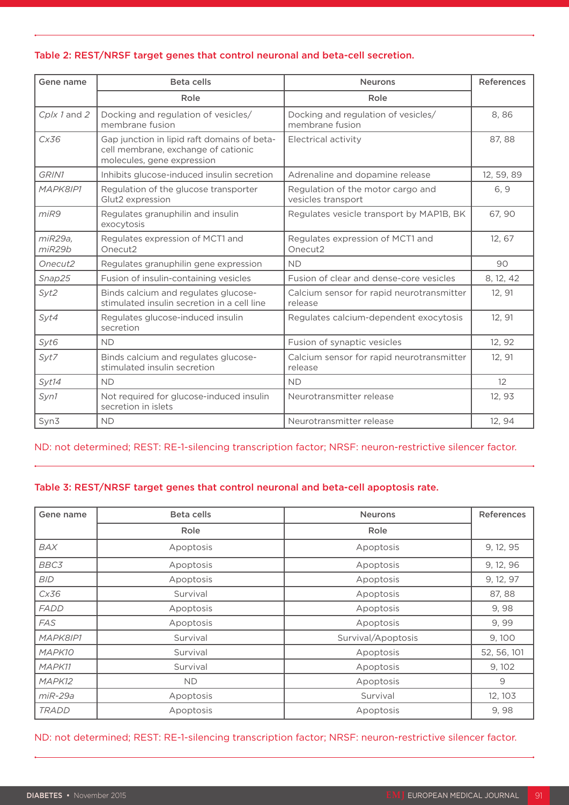#### Table 2: REST/NRSF target genes that control neuronal and beta-cell secretion.

| Gene name         | <b>Beta cells</b>                                                                                                | <b>Neurons</b>                                          | <b>References</b> |
|-------------------|------------------------------------------------------------------------------------------------------------------|---------------------------------------------------------|-------------------|
|                   | Role                                                                                                             | Role                                                    |                   |
| Cplx 1 and 2      | Docking and regulation of vesicles/<br>membrane fusion                                                           | Docking and regulation of vesicles/<br>membrane fusion  |                   |
| Cx36              | Gap junction in lipid raft domains of beta-<br>cell membrane, exchange of cationic<br>molecules, gene expression | Electrical activity                                     | 87, 88            |
| GRIN1             | Inhibits glucose-induced insulin secretion                                                                       | Adrenaline and dopamine release                         | 12, 59, 89        |
| MAPK8IP1          | Regulation of the glucose transporter<br>Glut2 expression                                                        | Regulation of the motor cargo and<br>vesicles transport | 6, 9              |
| miR9              | Regulates granuphilin and insulin<br>exocytosis                                                                  | Regulates vesicle transport by MAP1B, BK                | 67, 90            |
| miR29a,<br>miR29b | Regulates expression of MCT1 and<br>Onecut2                                                                      | Regulates expression of MCT1 and<br>Onecut2             | 12, 67            |
| Onecut2           | Regulates granuphilin gene expression                                                                            | <b>ND</b>                                               | 90                |
| Snap25            | Fusion of insulin-containing vesicles                                                                            | Fusion of clear and dense-core vesicles                 | 8, 12, 42         |
| Syt2              | Binds calcium and regulates glucose-<br>stimulated insulin secretion in a cell line                              | Calcium sensor for rapid neurotransmitter<br>release    | 12, 91            |
| Syt4              | Regulates glucose-induced insulin<br>secretion                                                                   | Regulates calcium-dependent exocytosis                  | 12, 91            |
| Syt6              | <b>ND</b>                                                                                                        | Fusion of synaptic vesicles                             | 12, 92            |
| Syt7              | Binds calcium and regulates glucose-<br>stimulated insulin secretion                                             | Calcium sensor for rapid neurotransmitter<br>release    | 12, 91            |
| Syt14             | <b>ND</b>                                                                                                        | <b>ND</b>                                               | $12 \overline{ }$ |
| Syn1              | Not required for glucose-induced insulin<br>secretion in islets                                                  | Neurotransmitter release                                | 12, 93            |
| Syn3              | <b>ND</b>                                                                                                        | Neurotransmitter release                                | 12, 94            |

#### ND: not determined; REST: RE-1-silencing transcription factor; NRSF: neuron-restrictive silencer factor.

#### Table 3: REST/NRSF target genes that control neuronal and beta-cell apoptosis rate.

| Gene name    | Beta cells | <b>Neurons</b>     | <b>References</b> |
|--------------|------------|--------------------|-------------------|
|              | Role       | Role               |                   |
| BAX          | Apoptosis  | Apoptosis          | 9, 12, 95         |
| BBC3         | Apoptosis  | Apoptosis          | 9, 12, 96         |
| <b>BID</b>   | Apoptosis  | Apoptosis          | 9, 12, 97         |
| Cx36         | Survival   | Apoptosis          | 87, 88            |
| <b>FADD</b>  | Apoptosis  | Apoptosis          | 9,98              |
| <b>FAS</b>   | Apoptosis  | Apoptosis          | 9,99              |
| MAPK8IP1     | Survival   | Survival/Apoptosis | 9,100             |
| MAPK10       | Survival   | Apoptosis          | 52, 56, 101       |
| MAPK11       | Survival   | Apoptosis          | 9, 102            |
| MAPK12       | <b>ND</b>  | Apoptosis          | 9                 |
| $miR-29a$    | Apoptosis  | Survival           | 12, 103           |
| <b>TRADD</b> | Apoptosis  | Apoptosis          | 9,98              |

ND: not determined; REST: RE-1-silencing transcription factor; NRSF: neuron-restrictive silencer factor.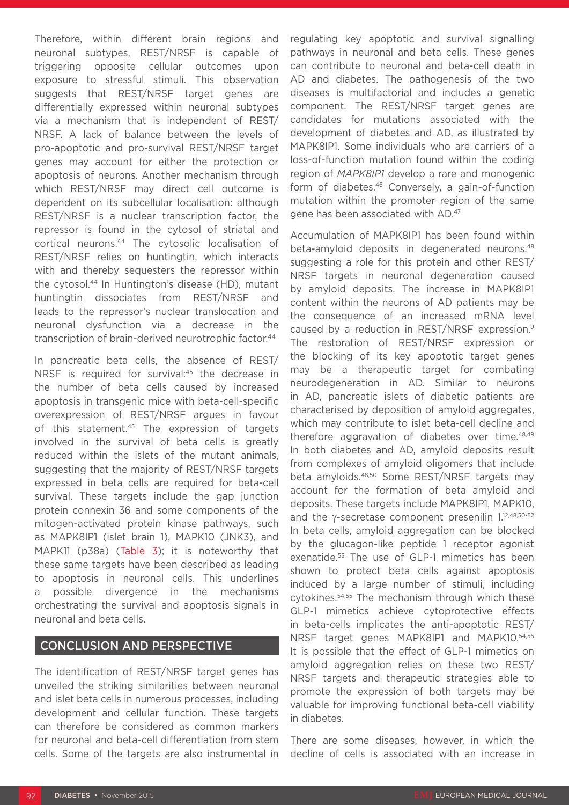Therefore, within different brain regions and neuronal subtypes, REST/NRSF is capable of triggering opposite cellular outcomes upon exposure to stressful stimuli. This observation suggests that REST/NRSF target genes are differentially expressed within neuronal subtypes via a mechanism that is independent of REST/ NRSF. A lack of balance between the levels of pro-apoptotic and pro-survival REST/NRSF target genes may account for either the protection or apoptosis of neurons. Another mechanism through which REST/NRSF may direct cell outcome is dependent on its subcellular localisation: although REST/NRSF is a nuclear transcription factor, the repressor is found in the cytosol of striatal and cortical neurons.44 The cytosolic localisation of REST/NRSF relies on huntingtin, which interacts with and thereby sequesters the repressor within the cytosol.44 In Huntington's disease (HD), mutant huntingtin dissociates from REST/NRSF and leads to the repressor's nuclear translocation and neuronal dysfunction via a decrease in the transcription of brain-derived neurotrophic factor.<sup>44</sup>

In pancreatic beta cells, the absence of REST/ NRSF is required for survival:<sup>45</sup> the decrease in the number of beta cells caused by increased apoptosis in transgenic mice with beta-cell-specific overexpression of REST/NRSF argues in favour of this statement.<sup>45</sup> The expression of targets involved in the survival of beta cells is greatly reduced within the islets of the mutant animals, suggesting that the majority of REST/NRSF targets expressed in beta cells are required for beta-cell survival. These targets include the gap junction protein connexin 36 and some components of the mitogen-activated protein kinase pathways, such as MAPK8IP1 (islet brain 1), MAPK10 (JNK3), and MAPK11 (p38a) (Table 3); it is noteworthy that these same targets have been described as leading to apoptosis in neuronal cells. This underlines a possible divergence in the mechanisms orchestrating the survival and apoptosis signals in neuronal and beta cells.

#### CONCLUSION AND PERSPECTIVE

The identification of REST/NRSF target genes has unveiled the striking similarities between neuronal and islet beta cells in numerous processes, including development and cellular function. These targets can therefore be considered as common markers for neuronal and beta-cell differentiation from stem cells. Some of the targets are also instrumental in

regulating key apoptotic and survival signalling pathways in neuronal and beta cells. These genes can contribute to neuronal and beta-cell death in AD and diabetes. The pathogenesis of the two diseases is multifactorial and includes a genetic component. The REST/NRSF target genes are candidates for mutations associated with the development of diabetes and AD, as illustrated by MAPK8IP1. Some individuals who are carriers of a loss-of-function mutation found within the coding region of *MAPK8IP1* develop a rare and monogenic form of diabetes.46 Conversely, a gain-of-function mutation within the promoter region of the same gene has been associated with AD.47

Accumulation of MAPK8IP1 has been found within beta-amyloid deposits in degenerated neurons,<sup>48</sup> suggesting a role for this protein and other REST/ NRSF targets in neuronal degeneration caused by amyloid deposits. The increase in MAPK8IP1 content within the neurons of AD patients may be the consequence of an increased mRNA level caused by a reduction in REST/NRSF expression.9 The restoration of REST/NRSF expression or the blocking of its key apoptotic target genes may be a therapeutic target for combating neurodegeneration in AD. Similar to neurons in AD, pancreatic islets of diabetic patients are characterised by deposition of amyloid aggregates, which may contribute to islet beta-cell decline and therefore aggravation of diabetes over time.<sup>48,49</sup> In both diabetes and AD, amyloid deposits result from complexes of amyloid oligomers that include beta amyloids.48,50 Some REST/NRSF targets may account for the formation of beta amyloid and deposits. These targets include MAPK8IP1, MAPK10, and the γ-secretase component presenilin 1.12,48,50-52 In beta cells, amyloid aggregation can be blocked by the glucagon-like peptide 1 receptor agonist exenatide.<sup>53</sup> The use of GLP-1 mimetics has been shown to protect beta cells against apoptosis induced by a large number of stimuli, including cytokines.54,55 The mechanism through which these GLP-1 mimetics achieve cytoprotective effects in beta-cells implicates the anti-apoptotic REST/ NRSF target genes MAPK8IP1 and MAPK10.54,56 It is possible that the effect of GLP-1 mimetics on amyloid aggregation relies on these two REST/ NRSF targets and therapeutic strategies able to promote the expression of both targets may be valuable for improving functional beta-cell viability in diabetes.

There are some diseases, however, in which the decline of cells is associated with an increase in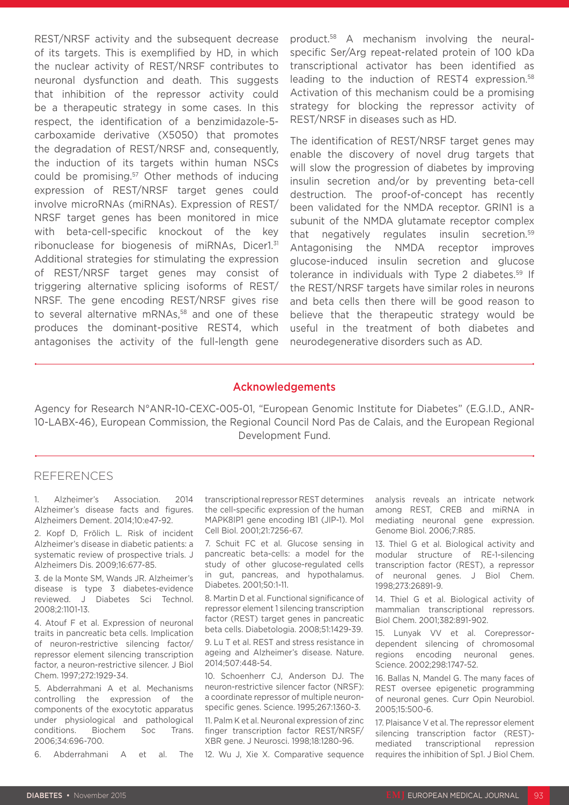REST/NRSF activity and the subsequent decrease of its targets. This is exemplified by HD, in which the nuclear activity of REST/NRSF contributes to neuronal dysfunction and death. This suggests that inhibition of the repressor activity could be a therapeutic strategy in some cases. In this respect, the identification of a benzimidazole-5 carboxamide derivative (X5050) that promotes the degradation of REST/NRSF and, consequently, the induction of its targets within human NSCs could be promising.57 Other methods of inducing expression of REST/NRSF target genes could involve microRNAs (miRNAs). Expression of REST/ NRSF target genes has been monitored in mice with beta-cell-specific knockout of the key ribonuclease for biogenesis of miRNAs, Dicer1.31 Additional strategies for stimulating the expression of REST/NRSF target genes may consist of triggering alternative splicing isoforms of REST/ NRSF. The gene encoding REST/NRSF gives rise to several alternative mRNAs,<sup>58</sup> and one of these produces the dominant-positive REST4, which antagonises the activity of the full-length gene

product.58 A mechanism involving the neuralspecific Ser/Arg repeat-related protein of 100 kDa transcriptional activator has been identified as leading to the induction of REST4 expression.<sup>58</sup> Activation of this mechanism could be a promising strategy for blocking the repressor activity of REST/NRSF in diseases such as HD.

The identification of REST/NRSF target genes may enable the discovery of novel drug targets that will slow the progression of diabetes by improving insulin secretion and/or by preventing beta-cell destruction. The proof-of-concept has recently been validated for the NMDA receptor. GRIN1 is a subunit of the NMDA glutamate receptor complex that negatively regulates insulin secretion.<sup>59</sup> Antagonising the NMDA receptor improves glucose-induced insulin secretion and glucose tolerance in individuals with Type 2 diabetes.<sup>59</sup> If the REST/NRSF targets have similar roles in neurons and beta cells then there will be good reason to believe that the therapeutic strategy would be useful in the treatment of both diabetes and neurodegenerative disorders such as AD.

#### Acknowledgements

Agency for Research N°ANR-10-CEXC-005-01, "European Genomic Institute for Diabetes" (E.G.I.D., ANR-10-LABX-46), European Commission, the Regional Council Nord Pas de Calais, and the European Regional Development Fund.

#### REFERENCES

1. Alzheimer's Association. 2014 Alzheimer's disease facts and figures. Alzheimers Dement. 2014;10:e47-92.

2. Kopf D, Frölich L. Risk of incident Alzheimer's disease in diabetic patients: a systematic review of prospective trials. J Alzheimers Dis. 2009;16:677-85.

3. de la Monte SM, Wands JR. Alzheimer's disease is type 3 diabetes-evidence reviewed. J Diabetes Sci Technol. 2008;2:1101-13.

4. Atouf F et al. Expression of neuronal traits in pancreatic beta cells. Implication of neuron-restrictive silencing factor/ repressor element silencing transcription factor, a neuron-restrictive silencer. J Biol Chem. 1997;272:1929-34.

5. Abderrahmani A et al. Mechanisms controlling the expression of the components of the exocytotic apparatus under physiological and pathological conditions. Biochem Soc Trans. 2006;34:696-700.

6. Abderrahmani A et al. The

transcriptional repressor REST determines the cell-specific expression of the human MAPK8IP1 gene encoding IB1 (JIP-1). Mol Cell Biol. 2001;21:7256-67.

7. Schuit FC et al. Glucose sensing in pancreatic beta-cells: a model for the study of other glucose-regulated cells in gut, pancreas, and hypothalamus. Diabetes. 2001;50:1-11.

8. Martin D et al. Functional significance of repressor element 1 silencing transcription factor (REST) target genes in pancreatic beta cells. Diabetologia. 2008;51:1429-39.

9. Lu T et al. REST and stress resistance in ageing and Alzheimer's disease. Nature. 2014;507:448-54.

10. Schoenherr CJ, Anderson DJ. The neuron-restrictive silencer factor (NRSF): a coordinate repressor of multiple neuronspecific genes. Science. 1995;267:1360-3.

11. Palm K et al. Neuronal expression of zinc finger transcription factor REST/NRSF/ XBR gene. J Neurosci. 1998;18:1280-96.

12. Wu J, Xie X. Comparative sequence

analysis reveals an intricate network among REST, CREB and miRNA in mediating neuronal gene expression. Genome Biol. 2006;7:R85.

13. Thiel G et al. Biological activity and modular structure of RE-1-silencing transcription factor (REST), a repressor of neuronal genes. J Biol Chem. 1998;273:26891-9.

14. Thiel G et al. Biological activity of mammalian transcriptional repressors. Biol Chem. 2001;382:891-902.

15. Lunyak VV et al. Corepressordependent silencing of chromosomal regions encoding neuronal genes. Science. 2002;298:1747-52.

16. Ballas N, Mandel G. The many faces of REST oversee epigenetic programming of neuronal genes. Curr Opin Neurobiol. 2005;15:500-6.

17. Plaisance V et al. The repressor element silencing transcription factor (REST) mediated transcriptional repression requires the inhibition of Sp1. J Biol Chem.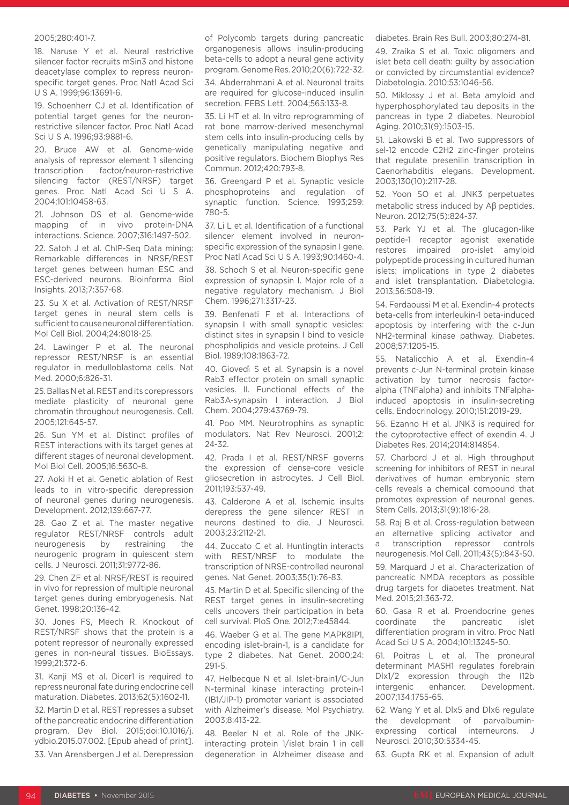#### 2005;280:401-7.

18. Naruse Y et al. Neural restrictive silencer factor recruits mSin3 and histone deacetylase complex to repress neuronspecific target genes. Proc Natl Acad Sci U S A. 1999;96:13691-6.

19. Schoenherr CJ et al. Identification of potential target genes for the neuronrestrictive silencer factor. Proc Natl Acad Sci U S A. 1996;93:9881-6.

20. Bruce AW et al. Genome-wide analysis of repressor element 1 silencing transcription factor/neuron-restrictive silencing factor (REST/NRSF) target genes. Proc Natl Acad Sci U S A. 2004;101:10458-63.

21. Johnson DS et al. Genome-wide mapping of in vivo protein-DNA interactions. Science. 2007;316:1497-502.

22. Satoh J et al. ChIP-Seq Data mining: Remarkable differences in NRSF/REST target genes between human ESC and ESC-derived neurons. Bioinforma Biol Insights. 2013;7:357-68.

23. Su X et al. Activation of REST/NRSF target genes in neural stem cells is sufficient to cause neuronal differentiation. Mol Cell Biol. 2004;24:8018-25.

24. Lawinger P et al. The neuronal repressor REST/NRSF is an essential regulator in medulloblastoma cells. Nat Med. 2000;6:826-31.

25. Ballas N et al. REST and its corepressors mediate plasticity of neuronal gene chromatin throughout neurogenesis. Cell. 2005;121:645-57.

26. Sun YM et al. Distinct profiles of REST interactions with its target genes at different stages of neuronal development. Mol Biol Cell. 2005;16:5630-8.

27. Aoki H et al. Genetic ablation of Rest leads to in vitro-specific derepression of neuronal genes during neurogenesis. Development. 2012;139:667-77.

28. Gao Z et al. The master negative regulator REST/NRSF controls adult neurogenesis by restraining the neurogenic program in quiescent stem cells. J Neurosci. 2011;31:9772-86.

29. Chen ZF et al. NRSF/REST is required in vivo for repression of multiple neuronal target genes during embryogenesis. Nat Genet. 1998;20:136-42.

30. Jones FS, Meech R. Knockout of REST/NRSF shows that the protein is a potent repressor of neuronally expressed genes in non-neural tissues. BioEssays. 1999;21:372-6.

31. Kanji MS et al. Dicer1 is required to repress neuronal fate during endocrine cell maturation. Diabetes. 2013;62(5):1602-11.

32. Martin D et al. REST represses a subset of the pancreatic endocrine differentiation program. Dev Biol. 2015;doi:10.1016/j. ydbio.2015.07.002. [Epub ahead of print]. 33. Van Arensbergen J et al. Derepression

of Polycomb targets during pancreatic organogenesis allows insulin-producing beta-cells to adopt a neural gene activity program. Genome Res. 2010;20(6):722-32.

34. Abderrahmani A et al. Neuronal traits are required for glucose-induced insulin secretion. FEBS Lett. 2004;565:133-8.

35. Li HT et al. In vitro reprogramming of rat bone marrow-derived mesenchymal stem cells into insulin-producing cells by genetically manipulating negative and positive regulators. Biochem Biophys Res Commun. 2012;420:793-8.

36. Greengard P et al. Synaptic vesicle phosphoproteins and regulation of synaptic function. Science. 1993;259: 780-5.

37. Li L et al. Identification of a functional silencer element involved in neuronspecific expression of the synapsin I gene. Proc Natl Acad Sci U S A. 1993;90:1460-4.

38. Schoch S et al. Neuron-specific gene expression of synapsin I. Major role of a negative regulatory mechanism. J Biol Chem. 1996;271:3317-23.

39. Benfenati F et al. Interactions of synapsin I with small synaptic vesicles: distinct sites in synapsin I bind to vesicle phospholipids and vesicle proteins. J Cell Biol. 1989;108:1863-72.

40. Giovedì S et al. Synapsin is a novel Rab3 effector protein on small synaptic vesicles. II. Functional effects of the Rab3A-synapsin I interaction. J Biol Chem. 2004;279:43769-79.

41. Poo MM. Neurotrophins as synaptic modulators. Nat Rev Neurosci. 2001;2: 24-32.

42. Prada I et al. REST/NRSF governs the expression of dense-core vesicle gliosecretion in astrocytes. J Cell Biol. 2011;193:537-49.

43. Calderone A et al. Ischemic insults derepress the gene silencer REST in neurons destined to die. J Neurosci. 2003;23:2112-21.

44. Zuccato C et al. Huntingtin interacts with REST/NRSF to modulate the transcription of NRSE-controlled neuronal genes. Nat Genet. 2003;35(1):76-83.

45. Martin D et al. Specific silencing of the REST target genes in insulin-secreting cells uncovers their participation in beta cell survival. PloS One. 2012;7:e45844.

46. Waeber G et al. The gene MAPK8IP1, encoding islet-brain-1, is a candidate for type 2 diabetes. Nat Genet. 2000;24: 291-5.

47. Helbecque N et al. Islet-brain1/C-Jun N-terminal kinase interacting protein-1 (IB1/JIP-1) promoter variant is associated with Alzheimer's disease. Mol Psychiatry. 2003;8:413-22.

48. Beeler N et al. Role of the JNKinteracting protein 1/islet brain 1 in cell degeneration in Alzheimer disease and

diabetes. Brain Res Bull. 2003;80:274-81.

49. Zraika S et al. Toxic oligomers and islet beta cell death: guilty by association or convicted by circumstantial evidence? Diabetologia. 2010;53:1046-56.

50. Miklossy J et al. Beta amyloid and hyperphosphorylated tau deposits in the pancreas in type 2 diabetes. Neurobiol Aging. 2010;31(9):1503-15.

51. Lakowski B et al. Two suppressors of sel-12 encode C2H2 zinc-finger proteins that regulate presenilin transcription in Caenorhabditis elegans. Development. 2003;130(10):2117-28.

52. Yoon SO et al. JNK3 perpetuates metabolic stress induced by Aβ peptides. Neuron. 2012;75(5):824-37.

53. Park YJ et al. The glucagon-like peptide-1 receptor agonist exenatide restores impaired pro-islet amyloid polypeptide processing in cultured human islets: implications in type 2 diabetes and islet transplantation. Diabetologia. 2013;56:508-19.

54. Ferdaoussi M et al. Exendin-4 protects beta-cells from interleukin-1 beta-induced apoptosis by interfering with the c-Jun NH2-terminal kinase pathway. Diabetes. 2008;57:1205-15.

55. Natalicchio A et al. Exendin-4 prevents c-Jun N-terminal protein kinase activation by tumor necrosis factoralpha (TNFalpha) and inhibits TNFalphainduced apoptosis in insulin-secreting cells. Endocrinology. 2010;151:2019-29.

56. Ezanno H et al. JNK3 is required for the cytoprotective effect of exendin 4. J Diabetes Res. 2014;2014:814854.

57. Charbord J et al. High throughput screening for inhibitors of REST in neural derivatives of human embryonic stem cells reveals a chemical compound that promotes expression of neuronal genes. Stem Cells. 2013;31(9):1816-28.

58. Raj B et al. Cross-regulation between an alternative splicing activator and a transcription repressor controls neurogenesis. Mol Cell. 2011;43(5):843-50.

59. Marquard J et al. Characterization of pancreatic NMDA receptors as possible drug targets for diabetes treatment. Nat Med. 2015;21:363-72.

60. Gasa R et al. Proendocrine genes coordinate the pancreatic islet differentiation program in vitro. Proc Natl Acad Sci U S A. 2004;101:13245-50.

61. Poitras L et al. The proneural determinant MASH1 regulates forebrain Dlx1/2 expression through the I12b intergenic enhancer. Development. 2007;134:1755-65.

62. Wang Y et al. Dlx5 and Dlx6 regulate the development of parvalbuminexpressing cortical interneurons. J Neurosci. 2010;30:5334-45.

63. Gupta RK et al. Expansion of adult